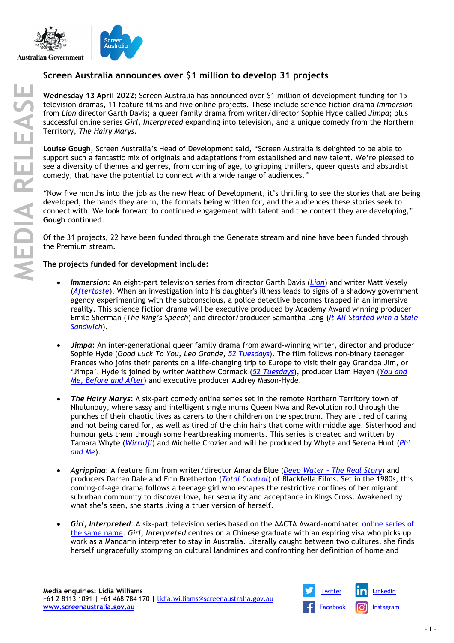



## **Screen Australia announces over \$1 million to develop 31 projects**

**Wednesday 13 April 2022:** Screen Australia has announced over \$1 million of development funding for 15 television dramas, 11 feature films and five online projects. These include science fiction drama *Immersion* from *Lion* director Garth Davis; a queer family drama from writer/director Sophie Hyde called *Jimpa*; plus successful online series *Girl, Interpreted* expanding into television, and a unique comedy from the Northern Territory, *The Hairy Marys*.

**Louise Gough**, Screen Australia's Head of Development said, "Screen Australia is delighted to be able to support such a fantastic mix of originals and adaptations from established and new talent. We're pleased to see a diversity of themes and genres, from coming of age, to gripping thrillers, queer quests and absurdist comedy, that have the potential to connect with a wide range of audiences."

"Now five months into the job as the new Head of Development, it's thrilling to see the stories that are being developed, the hands they are in, the formats being written for, and the audiences these stories seek to connect with. We look forward to continued engagement with talent and the content they are developing," **Gough** continued.

Of the 31 projects, 22 have been funded through the Generate stream and nine have been funded through the Premium stream.

## **The projects funded for development include:**

- *Immersion*: An eight-part television series from director Garth Davis (*[Lion](https://www.screenaustralia.gov.au/the-screen-guide/t/lion-2016/33123)*) and writer Matt Vesely (*[Aftertaste](https://www.screenaustralia.gov.au/the-screen-guide/t/Aftertaste-series-1-2021/38462)*). When an investigation into his daughter's illness leads to signs of a shadowy government agency experimenting with the subconscious, a police detective becomes trapped in an immersive reality. This science fiction drama will be executive produced by Academy Award winning producer Emile Sherman (*The King's Speech*) and director/producer Samantha Lang (*It All [Started with a](https://www.screenaustralia.gov.au/the-screen-guide/t/It-All-Started-With-A-Stale-Sandwich-2020/37594) Stale [Sandwich](https://www.screenaustralia.gov.au/the-screen-guide/t/It-All-Started-With-A-Stale-Sandwich-2020/37594)*).
- *Jimpa*: An inter-generational queer family drama from award-winning writer, director and producer Sophie Hyde (*Good Luck To You, Leo Grande*, *[52 Tuesdays](https://www.screenaustralia.gov.au/the-screen-guide/t/52-Tuesdays-2013/31686)*). The film follows non-binary teenager Frances who joins their parents on a life-changing trip to Europe to visit their gay Grandpa Jim, or 'Jimpa'. Hyde is joined by writer Matthew Cormack (*[52 Tuesdays](https://www.screenaustralia.gov.au/the-screen-guide/t/52-Tuesdays-2013/31686)*), producer Liam Heyen (*[You and](https://www.screenaustralia.gov.au/the-screen-guide/t/you-and-me,-before-and-after-2020/39933)  [Me, Before and After](https://www.screenaustralia.gov.au/the-screen-guide/t/you-and-me,-before-and-after-2020/39933)*) and executive producer Audrey Mason-Hyde.
- *The Hairy Marys*: A six-part comedy online series set in the remote Northern Territory town of Nhulunbuy, where sassy and intelligent single mums Queen Nwa and Revolution roll through the punches of their chaotic lives as carers to their children on the spectrum. They are tired of caring and not being cared for, as well as tired of the chin hairs that come with middle age. Sisterhood and humour gets them through some heartbreaking moments. This series is created and written by Tamara Whyte (*[Wirridji](https://www.screenaustralia.gov.au/the-screen-guide/t/wirridji--something-bad-will-happen-2016/35978/)*) and Michelle Crozier and will be produced by Whyte and Serena Hunt (*[Phi](https://www.screenaustralia.gov.au/the-screen-guide/t/Phi-and-Me-2019/37850)  [and Me](https://www.screenaustralia.gov.au/the-screen-guide/t/Phi-and-Me-2019/37850)*).
- *Agrippina*: A feature film from writer/director Amanda Blue (*Deep Water – [The Real Story](https://www.screenaustralia.gov.au/the-screen-guide/t/Deep-Water---The-Real-Story-2016/34229)*) and producers Darren Dale and Erin Bretherton (*[Total Control](https://www.screenaustralia.gov.au/the-screen-guide/t/Total-Control-series-1-2019/36598)*) of Blackfella Films. Set in the 1980s, this coming-of-age drama follows a teenage girl who escapes the restrictive confines of her migrant suburban community to discover love, her sexuality and acceptance in Kings Cross. Awakened by what she's seen, she starts living a truer version of herself.
- *Girl, Interpreted*: A six-part television series based on the AACTA Award-nominated [online series](https://www.youtube.com/watch?v=Ae-gjEi2ALA&list=PLeW7oxnMEezzdE9Wpz_4o0D_b4eWWxZuj) of [the same name.](https://www.youtube.com/watch?v=Ae-gjEi2ALA&list=PLeW7oxnMEezzdE9Wpz_4o0D_b4eWWxZuj) *Girl, Interpreted* centres on a Chinese graduate with an expiring visa who picks up work as a Mandarin interpreter to stay in Australia. Literally caught between two cultures, she finds herself ungracefully stomping on cultural landmines and confronting her definition of home and